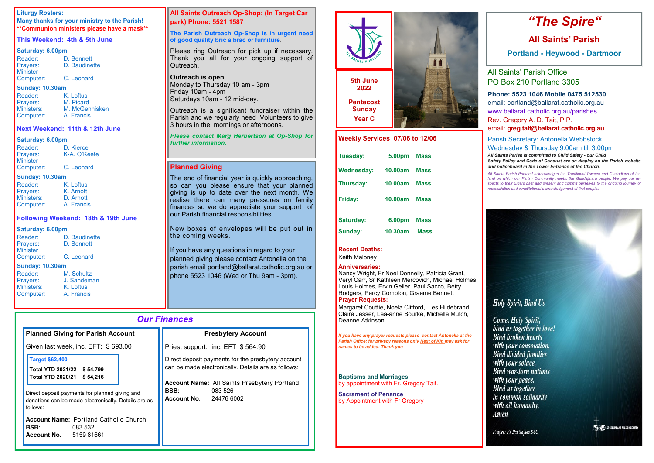### *Our Finances*

| <b>Planned Giving for Parish Account</b>                                                                                                                                                                  | <b>Presbytery Account</b>                                                                                                                                                                                                   |  |
|-----------------------------------------------------------------------------------------------------------------------------------------------------------------------------------------------------------|-----------------------------------------------------------------------------------------------------------------------------------------------------------------------------------------------------------------------------|--|
| Given last week, inc. EFT: \$693.00                                                                                                                                                                       | Priest support: inc. EFT \$564.90                                                                                                                                                                                           |  |
| <b>Target \$62,400</b><br>Total YTD 2021/22 \$ 54,799<br>Total YTD 2020/21 \$54,216<br>Direct deposit payments for planned giving and<br>donations can be made electronically. Details are as<br>follows: | Direct deposit payments for the presbytery account<br>can be made electronically. Details are as follows:<br><b>Account Name:</b> All Saints Presbytery Portland<br><b>BSB:</b><br>083 526<br><b>Account No. 24476 6002</b> |  |
| <b>Account Name: Portland Catholic Church</b><br>BSB:<br>083 532<br><b>Account No.</b><br>515981661                                                                                                       |                                                                                                                                                                                                                             |  |

#### **Liturgy Rosters:**

**Many thanks for your ministry to the Parish! \*\*Communion ministers please have a mask\*\***

#### **This Weekend: 4th & 5th June**

#### **Saturday: 6.00pm**

| Reader:         | D. Bennett    |
|-----------------|---------------|
| Prayers:        | D. Baudinette |
| <b>Minister</b> |               |
| Computer:       | C. Leonard    |

#### **Sunday: 10.30am**

| Reader:    | K. Loftus      |
|------------|----------------|
| Prayers:   | M. Picard      |
| Ministers: | M. McGennisken |
| Computer:  | A. Francis     |

#### **Next Weekend: 11th & 12th June**

#### **Saturday: 6.00pm**

The end of financial year is quickly approaching, so can you please ensure that your planned giving is up to date over the next month. We realise there can many pressures on family finances so we do appreciate your support of our Parish financial responsibilities.

| Reader:         | D. Kierce    |
|-----------------|--------------|
| Prayers:        | K-A. O'Keefe |
| <b>Minister</b> |              |
| Computer:       | C. Leonard   |

#### **Sunday: 10.30am**

| Reader:    | K. Loftus  |  |  |
|------------|------------|--|--|
| Prayers:   | K. Arnott  |  |  |
| Ministers: | D. Arnott  |  |  |
| Computer:  | A. Francis |  |  |

#### **Following Weekend: 18th & 19th June**

#### **Saturday: 6.00pm**

If you have any questions in regard to your planned giving please contact Antonella on the parish email portland@ballarat.catholic.org.au or phone 5523 1046 (Wed or Thu 9am - 3pm).

| Reader:                | D. Baudinette |  |  |  |
|------------------------|---------------|--|--|--|
| Prayers:               | D. Bennett    |  |  |  |
| <b>Minister</b>        |               |  |  |  |
| Computer:              | C. Leonard    |  |  |  |
| <b>Sunday: 10.30am</b> |               |  |  |  |
| <b>Reader:</b>         | M. Schultz    |  |  |  |

| nvuuvi.          |
|------------------|
| Prayers:         |
| <b>Ministers</b> |
| Compute          |

J. Sandeman K. Loftus **Computer:** A. Francis

#### **All Saints Outreach Op-Shop: (In Target Car park) Phone: 5521 1587**

#### **The Parish Outreach Op-Shop is in urgent need of good quality bric a brac or furniture**.

Please ring Outreach for pick up if necessary. Thank you all for your ongoing support of Outreach.

#### **Outreach is open**

Monday to Thursday 10 am - 3pm Friday 10am - 4pm Saturdays 10am - 12 mid-day.

Outreach is a significant fundraiser within the Parish and we regularly need Volunteers to give 3 hours in the mornings or afternoons.

#### *Please contact Marg Herbertson at Op-Shop for further information.*

### **Planned Giving**

New boxes of envelopes will be put out in the coming weeks.

# *"The Spire"*

## **All Saints' Parish**

**Portland - Heywood - Dartmoor**

All Saints' Parish Office PO Box 210 Portland 3305

**Phone: 5523 1046 Mobile 0475 512530**

email: portland@ballarat.catholic.org.au www.ballarat.catholic.org.au/parishes Rev. Gregory A. D. Tait, P.P. email: **greg.tait@ballarat.catholic.org.au**

Parish Secretary: Antonella Webbstock Wednesday & Thursday 9.00am till 3.00pm

*All Saints Parish is committed to Child Safety - our Child Safety Policy and Code of Conduct are on display on the Parish website and noticeboard in the Tower Entrance of the Church.*

*All Saints Parish Portland acknowledges the Traditional Owners and Custodians of the land on which our Parish Community meets, the Gunditjmara people. We pay our respects to their Elders past and present and commit ourselves to the ongoing journey of reconciliation and constitutional acknowledgement of first peoples*

**Holy Spirit, Bind Us** 

Come, Holy Spirit, bind us together in love! **Bind broken hearts** with your consolation. **Bind divided families** with your solace. **Bind war-torn nations** with your peace. **Bind us together** in common solidarity with all humanity. Amen

Prayer: Fr Pat Sayles SSC



| Tuesday:          | 5.00pm         | <b>Mass</b> |
|-------------------|----------------|-------------|
| <b>Wednesday:</b> | 10.00am        | <b>Mass</b> |
| <b>Thursday:</b>  | <b>10,00am</b> | <b>Mass</b> |
| <b>Friday:</b>    | 10.00am        | <b>Mass</b> |
|                   |                |             |
| <b>Saturday:</b>  | 6.00pm         | <b>Mass</b> |
| Sunday:           | 10.30am        | <b>Mass</b> |

#### **Recent Deaths:**

Keith Maloney

#### **Anniversaries:**

Nancy Wright, Fr Noel Donnelly, Patricia Grant, Veryl Carr, Sr Kathleen Mercovich, Michael Holmes, Louis Holmes, Ervin Geller, Paul Sacco, Betty Rodgers, Percy Compton, Graeme Bennett **Prayer Requests:** 



Margaret Couttie, Noela Clifford, Les Hildebrand, Claire Jesser, Lea-anne Bourke, Michelle Mutch, Deanne Atkinson

*If you have any prayer requests please contact Antonella at the Parish Office; for privacy reasons only Next of Kin may ask for names to be added: Thank you*

**Baptisms and Marriages**  by appointment with Fr. Gregory Tait.

**Sacrament of Penance**  by Appointment with Fr Gregory